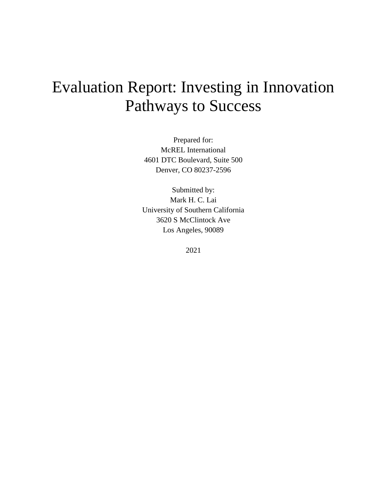# Evaluation Report: Investing in Innovation Pathways to Success

Prepared for: McREL International 4601 DTC Boulevard, Suite 500 Denver, CO 80237-2596

Submitted by: Mark H. C. Lai University of Southern California 3620 S McClintock Ave Los Angeles, 90089

2021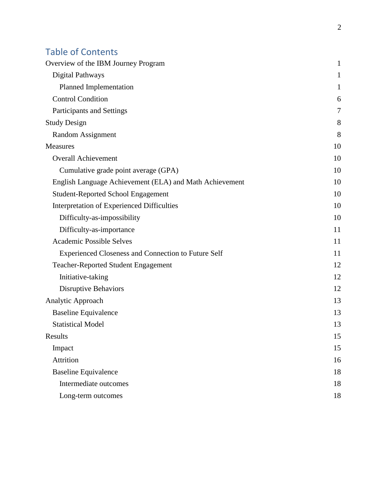# Table of Contents

| Overview of the IBM Journey Program                        | $\mathbf{1}$ |
|------------------------------------------------------------|--------------|
| <b>Digital Pathways</b>                                    | 1            |
| Planned Implementation                                     | 1            |
| <b>Control Condition</b>                                   | 6            |
| Participants and Settings                                  | 7            |
| <b>Study Design</b>                                        | 8            |
| Random Assignment                                          | 8            |
| <b>Measures</b>                                            | 10           |
| <b>Overall Achievement</b>                                 | 10           |
| Cumulative grade point average (GPA)                       | 10           |
| English Language Achievement (ELA) and Math Achievement    | 10           |
| <b>Student-Reported School Engagement</b>                  | 10           |
| Interpretation of Experienced Difficulties                 | 10           |
| Difficulty-as-impossibility                                | 10           |
| Difficulty-as-importance                                   | 11           |
| <b>Academic Possible Selves</b>                            | 11           |
| <b>Experienced Closeness and Connection to Future Self</b> | 11           |
| <b>Teacher-Reported Student Engagement</b>                 | 12           |
| Initiative-taking                                          | 12           |
| <b>Disruptive Behaviors</b>                                | 12           |
| Analytic Approach                                          | 13           |
| <b>Baseline Equivalence</b>                                | 13           |
| <b>Statistical Model</b>                                   | 13           |
| Results                                                    | 15           |
| Impact                                                     | 15           |
| Attrition                                                  | 16           |
| <b>Baseline Equivalence</b>                                | 18           |
| Intermediate outcomes                                      | 18           |
| Long-term outcomes                                         | 18           |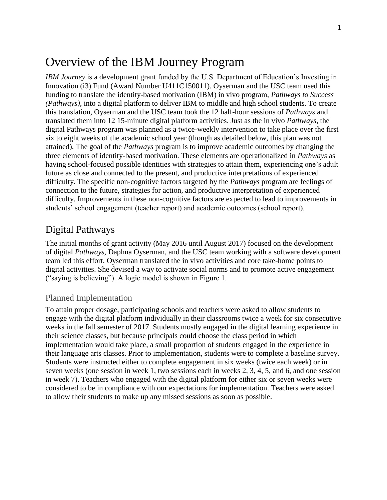# <span id="page-2-0"></span>Overview of the IBM Journey Program

*IBM Journey* is a development grant funded by the U.S. Department of Education's Investing in Innovation (i3) Fund (Award Number U411C150011). Oyserman and the USC team used this funding to translate the identity-based motivation (IBM) in vivo program, *Pathways to Success (Pathways)*, into a digital platform to deliver IBM to middle and high school students. To create this translation, Oyserman and the USC team took the 12 half-hour sessions of *Pathways* and translated them into 12 15-minute digital platform activities. Just as the in vivo *Pathways*, the digital Pathways program was planned as a twice-weekly intervention to take place over the first six to eight weeks of the academic school year (though as detailed below, this plan was not attained). The goal of the *Pathways* program is to improve academic outcomes by changing the three elements of identity-based motivation. These elements are operationalized in *Pathways* as having school-focused possible identities with strategies to attain them, experiencing one's adult future as close and connected to the present, and productive interpretations of experienced difficulty. The specific non-cognitive factors targeted by the *Pathways* program are feelings of connection to the future, strategies for action, and productive interpretation of experienced difficulty. Improvements in these non-cognitive factors are expected to lead to improvements in students' school engagement (teacher report) and academic outcomes (school report).

### <span id="page-2-1"></span>Digital Pathways

The initial months of grant activity (May 2016 until August 2017) focused on the development of digital *Pathways*, Daphna Oyserman, and the USC team working with a software development team led this effort. Oyserman translated the in vivo activities and core take-home points to digital activities. She devised a way to activate social norms and to promote active engagement ("saying is believing"). A logic model is shown in Figure 1.

#### <span id="page-2-2"></span>Planned Implementation

To attain proper dosage, participating schools and teachers were asked to allow students to engage with the digital platform individually in their classrooms twice a week for six consecutive weeks in the fall semester of 2017. Students mostly engaged in the digital learning experience in their science classes, but because principals could choose the class period in which implementation would take place, a small proportion of students engaged in the experience in their language arts classes. Prior to implementation, students were to complete a baseline survey. Students were instructed either to complete engagement in six weeks (twice each week) or in seven weeks (one session in week 1, two sessions each in weeks 2, 3, 4, 5, and 6, and one session in week 7). Teachers who engaged with the digital platform for either six or seven weeks were considered to be in compliance with our expectations for implementation. Teachers were asked to allow their students to make up any missed sessions as soon as possible.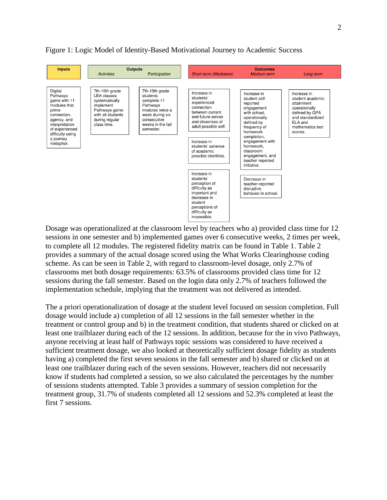

#### Figure 1: Logic Model of Identity-Based Motivational Journey to Academic Success

Dosage was operationalized at the classroom level by teachers who a) provided class time for 12 sessions in one semester and b) implemented games over 6 consecutive weeks, 2 times per week, to complete all 12 modules. The registered fidelity matrix can be found in Table 1. Table 2 provides a summary of the actual dosage scored using the What Works Clearinghouse coding scheme. As can be seen in Table 2, with regard to classroom-level dosage, only 2.7% of classrooms met both dosage requirements: 63.5% of classrooms provided class time for 12 sessions during the fall semester. Based on the login data only 2.7% of teachers followed the implementation schedule, implying that the treatment was not delivered as intended.

The a priori operationalization of dosage at the student level focused on session completion. Full dosage would include a) completion of all 12 sessions in the fall semester whether in the treatment or control group and b) in the treatment condition, that students shared or clicked on at least one trailblazer during each of the 12 sessions. In addition, because for the in vivo Pathways, anyone receiving at least half of Pathways topic sessions was considered to have received a sufficient treatment dosage, we also looked at theoretically sufficient dosage fidelity as students having a) completed the first seven sessions in the fall semester and b) shared or clicked on at least one trailblazer during each of the seven sessions. However, teachers did not necessarily know if students had completed a session, so we also calculated the percentages by the number of sessions students attempted. Table 3 provides a summary of session completion for the treatment group, 31.7% of students completed all 12 sessions and 52.3% completed at least the first 7 sessions.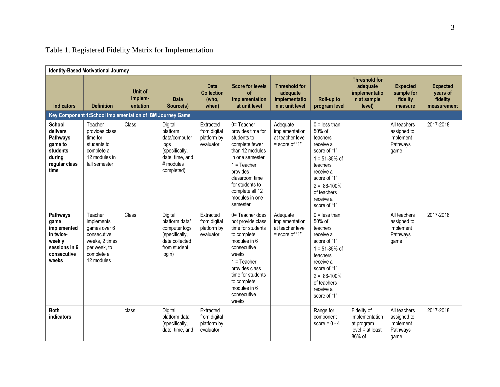|                                                                                                 | <b>Identity-Based Motivational Journey</b>                                                                           |                                                           |                                                                                                              |                                                       |                                                                                                                                                                                                                                 |                                                                      |                                                                                                                                                                                                  |                                                                             |                                                              |                                                        |
|-------------------------------------------------------------------------------------------------|----------------------------------------------------------------------------------------------------------------------|-----------------------------------------------------------|--------------------------------------------------------------------------------------------------------------|-------------------------------------------------------|---------------------------------------------------------------------------------------------------------------------------------------------------------------------------------------------------------------------------------|----------------------------------------------------------------------|--------------------------------------------------------------------------------------------------------------------------------------------------------------------------------------------------|-----------------------------------------------------------------------------|--------------------------------------------------------------|--------------------------------------------------------|
| <b>Indicators</b>                                                                               | <b>Definition</b>                                                                                                    | Unit of<br>implem-<br>entation                            | <b>Data</b><br>Source(s)                                                                                     | <b>Data</b><br><b>Collection</b><br>(who,<br>when)    | <b>Score for levels</b><br>οf<br>implementation<br>at unit level                                                                                                                                                                | <b>Threshold for</b><br>adequate<br>implementatio<br>n at unit level | Roll-up to<br>program level                                                                                                                                                                      | <b>Threshold for</b><br>adequate<br>implementatio<br>n at sample<br>level)  | <b>Expected</b><br>sample for<br>fidelity<br>measure         | <b>Expected</b><br>years of<br>fidelity<br>measurement |
|                                                                                                 |                                                                                                                      | Key Component 1:School Implementation of IBM Journey Game |                                                                                                              |                                                       |                                                                                                                                                                                                                                 |                                                                      |                                                                                                                                                                                                  |                                                                             |                                                              |                                                        |
| School<br>delivers<br>Pathways<br>game to<br>students<br>during<br>regular class<br>time        | Teacher<br>provides class<br>time for<br>students to<br>complete all<br>12 modules in<br>fall semester               | Class                                                     | Digital<br>platform<br>data/computer<br>logs<br>(specifically,<br>date, time, and<br># modules<br>completed) | Extracted<br>from digital<br>platform by<br>evaluator | $0 = Teacher$<br>provides time for<br>students to<br>complete fewer<br>than 12 modules<br>in one semester<br>$1 = Teacher$<br>provides<br>classroom time<br>for students to<br>complete all 12<br>modules in one<br>semester    | Adequate<br>implementation<br>at teacher level<br>$=$ score of "1"   | $0 =$ less than<br>50% of<br>teachers<br>receive a<br>score of "1"<br>$1 = 51 - 85%$ of<br>teachers<br>receive a<br>score of "1"<br>$2 = 86 - 100\%$<br>of teachers<br>receive a<br>score of "1" |                                                                             | All teachers<br>assigned to<br>implement<br>Pathways<br>qame | 2017-2018                                              |
| Pathways<br>game<br>implemented<br>in twice-<br>weekly<br>sessions in 6<br>consecutive<br>weeks | Teacher<br>implements<br>games over 6<br>consecutive<br>weeks, 2 times<br>per week, to<br>complete all<br>12 modules | Class                                                     | Digital<br>platform data/<br>computer logs<br>(specifically,<br>date collected<br>from student<br>login)     | Extracted<br>from digital<br>platform by<br>evaluator | 0= Teacher does<br>not provide class<br>time for students<br>to complete<br>modules in 6<br>consecutive<br>weeks<br>$1 = Teacher$<br>provides class<br>time for students<br>to complete<br>modules in 6<br>consecutive<br>weeks | Adequate<br>implementation<br>at teacher level<br>$=$ score of "1"   | $0 =$ less than<br>50% of<br>teachers<br>receive a<br>score of "1"<br>$1 = 51 - 85%$ of<br>teachers<br>receive a<br>score of "1"<br>$2 = 86 - 100\%$<br>of teachers<br>receive a<br>score of "1" |                                                                             | All teachers<br>assigned to<br>implement<br>Pathways<br>game | 2017-2018                                              |
| <b>Both</b><br>indicators                                                                       |                                                                                                                      | class                                                     | Digital<br>platform data<br>(specifically,<br>date, time, and                                                | Extracted<br>from digital<br>platform by<br>evaluator |                                                                                                                                                                                                                                 |                                                                      | Range for<br>component<br>score = $0 - 4$                                                                                                                                                        | Fidelity of<br>implementation<br>at program<br>$level = at least$<br>86% of | All teachers<br>assigned to<br>implement<br>Pathways<br>game | 2017-2018                                              |

# Table 1. Registered Fidelity Matrix for Implementation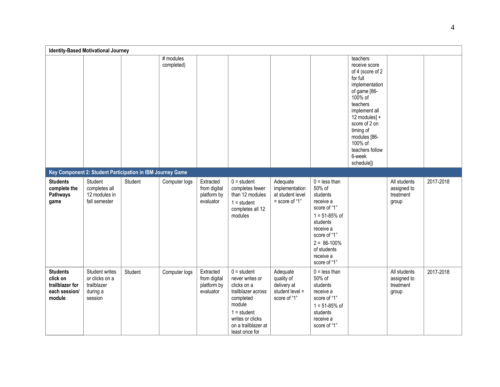|                                                                           | <b>Identity-Based Motivational Journey</b>                             |         |                         |                                                       |                                                                                                                                                                            |                                                                          |                                                                                                                                                                                                  |                                                                                                                                                                                                                                                           |                                                   |           |
|---------------------------------------------------------------------------|------------------------------------------------------------------------|---------|-------------------------|-------------------------------------------------------|----------------------------------------------------------------------------------------------------------------------------------------------------------------------------|--------------------------------------------------------------------------|--------------------------------------------------------------------------------------------------------------------------------------------------------------------------------------------------|-----------------------------------------------------------------------------------------------------------------------------------------------------------------------------------------------------------------------------------------------------------|---------------------------------------------------|-----------|
|                                                                           |                                                                        |         | # modules<br>completed) |                                                       |                                                                                                                                                                            |                                                                          |                                                                                                                                                                                                  | teachers<br>receive score<br>of 4 (score of 2)<br>for full<br>implementation<br>of game [86-<br>100% of<br>teachers<br>implement all<br>12 modules] +<br>score of 2 on<br>timing of<br>modules [86-<br>100% of<br>teachers follow<br>6-week<br>schedule]) |                                                   |           |
|                                                                           | Key Component 2: Student Participation in IBM Journey Game             |         |                         |                                                       |                                                                                                                                                                            |                                                                          |                                                                                                                                                                                                  |                                                                                                                                                                                                                                                           |                                                   |           |
| <b>Students</b><br>complete the<br>Pathways<br>game                       | Student<br>completes all<br>12 modules in<br>fall semester             | Student | Computer logs           | Extracted<br>from digital<br>platform by<br>evaluator | $0 = student$<br>completes fewer<br>than 12 modules<br>$1 = student$<br>completes all 12<br>modules                                                                        | Adequate<br>implementation<br>at student level<br>$=$ score of "1"       | $0 =$ less than<br>50% of<br>students<br>receive a<br>score of "1"<br>$1 = 51 - 85%$ of<br>students<br>receive a<br>score of "1"<br>$2 = 86 - 100\%$<br>of students<br>receive a<br>score of "1" |                                                                                                                                                                                                                                                           | All students<br>assigned to<br>treatment<br>group | 2017-2018 |
| <b>Students</b><br>click on<br>trailblazer for<br>each session/<br>module | Student writes<br>or clicks on a<br>trailblazer<br>during a<br>session | Student | Computer logs           | Extracted<br>from digital<br>platform by<br>evaluator | $0 = student$<br>never writes or<br>clicks on a<br>trailblazer across<br>completed<br>module<br>$1 = student$<br>writes or clicks<br>on a trailblazer at<br>least once for | Adequate<br>quality of<br>delivery at<br>student level =<br>score of "1" | $0 =$ less than<br>50% of<br>students<br>receive a<br>score of "1"<br>$1 = 51 - 85%$ of<br>students<br>receive a<br>score of "1"                                                                 |                                                                                                                                                                                                                                                           | All students<br>assigned to<br>treatment<br>group | 2017-2018 |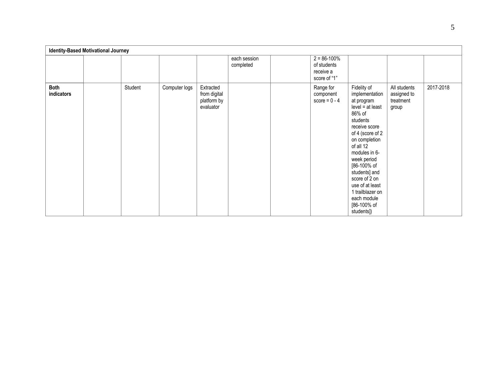|                           | <b>Identity-Based Motivational Journey</b> |         |               |                                                       |                           |                                                             |                                                                                                                                                                                                                                                                                                                                |                                                   |           |
|---------------------------|--------------------------------------------|---------|---------------|-------------------------------------------------------|---------------------------|-------------------------------------------------------------|--------------------------------------------------------------------------------------------------------------------------------------------------------------------------------------------------------------------------------------------------------------------------------------------------------------------------------|---------------------------------------------------|-----------|
|                           |                                            |         |               |                                                       | each session<br>completed | $2 = 86 - 100%$<br>of students<br>receive a<br>score of "1" |                                                                                                                                                                                                                                                                                                                                |                                                   |           |
| <b>Both</b><br>indicators |                                            | Student | Computer logs | Extracted<br>from digital<br>platform by<br>evaluator |                           | Range for<br>component<br>score = $0 - 4$                   | Fidelity of<br>implementation<br>at program<br>$level = at least$<br>86% of<br>students<br>receive score<br>of 4 (score of 2<br>on completion<br>of all 12<br>modules in 6-<br>week period<br>[86-100% of<br>students] and<br>score of 2 on<br>use of at least<br>1 trailblazer on<br>each module<br>[86-100% of<br>students]) | All students<br>assigned to<br>treatment<br>group | 2017-2018 |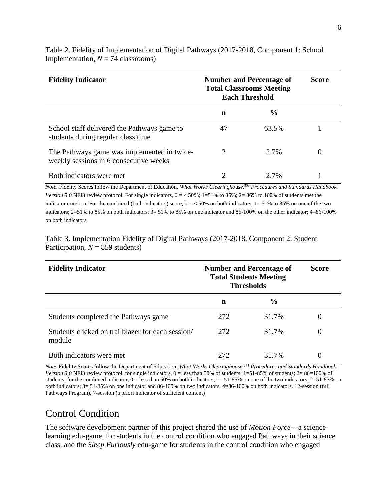| <b>Fidelity Indicator</b>                                                             | <b>Number and Percentage of</b><br><b>Total Classrooms Meeting</b><br><b>Each Threshold</b> | Score         |  |
|---------------------------------------------------------------------------------------|---------------------------------------------------------------------------------------------|---------------|--|
|                                                                                       | n                                                                                           | $\frac{6}{9}$ |  |
| School staff delivered the Pathways game to<br>students during regular class time     | 47                                                                                          | 63.5%         |  |
| The Pathways game was implemented in twice-<br>weekly sessions in 6 consecutive weeks | $\mathcal{D}_{\mathcal{L}}$                                                                 | 2.7%          |  |
| Both indicators were met                                                              |                                                                                             | $2.7\%$       |  |

Table 2. Fidelity of Implementation of Digital Pathways (2017-2018, Component 1: School Implementation,  $N = 74$  classrooms)

*Note*. Fidelity Scores follow the Department of Education, *What Works Clearinghouse.TM Procedures and Standards Handbook. Version 3.0* NEi3 review protocol. For single indicators,  $0 = 50\%$ ;  $1=51\%$  to 85%;  $2=86\%$  to 100% of students met the indicator criterion. For the combined (both indicators) score,  $0 = 50\%$  on both indicators;  $1 = 51\%$  to 85% on one of the two indicators; 2=51% to 85% on both indicators; 3= 51% to 85% on one indicator and 86-100% on the other indicator; 4=86-100% on both indicators.

|                                    | Table 3. Implementation Fidelity of Digital Pathways (2017-2018, Component 2: Student |  |
|------------------------------------|---------------------------------------------------------------------------------------|--|
| Participation, $N = 859$ students) |                                                                                       |  |

| <b>Fidelity Indicator</b>                                   | <b>Number and Percentage of</b><br><b>Total Students Meeting</b><br><b>Thresholds</b> | <b>Score</b>  |   |
|-------------------------------------------------------------|---------------------------------------------------------------------------------------|---------------|---|
|                                                             | n                                                                                     | $\frac{6}{9}$ |   |
| Students completed the Pathways game                        | 272                                                                                   | 31.7%         | 0 |
| Students clicked on trailblazer for each session/<br>module | 272                                                                                   | 31.7%         | 0 |
| Both indicators were met                                    | 272                                                                                   | 31.7%         | 0 |

*Note*. Fidelity Scores follow the Department of Education, *What Works Clearinghouse.TM Procedures and Standards Handbook. Version 3.0* NEi3 review protocol, for single indicators,  $0 =$  less than 50% of students;  $1=51-85%$  of students;  $2=86=100%$  of students; for the combined indicator,  $0 =$  less than 50% on both indicators;  $1 = 51-85%$  on one of the two indicators;  $2=51-85%$  on both indicators; 3= 51-85% on one indicator and 86-100% on two indicators; 4=86-100% on both indicators. 12-session (full Pathways Program), 7-session (a priori indicator of sufficient content)

# <span id="page-7-0"></span>Control Condition

The software development partner of this project shared the use of *Motion Force*---a sciencelearning edu-game, for students in the control condition who engaged Pathways in their science class, and the *Sleep Furiously* edu-game for students in the control condition who engaged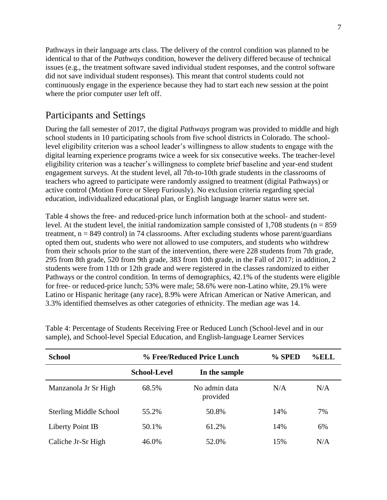Pathways in their language arts class. The delivery of the control condition was planned to be identical to that of the *Pathways* condition, however the delivery differed because of technical issues (e.g., the treatment software saved individual student responses, and the control software did not save individual student responses). This meant that control students could not continuously engage in the experience because they had to start each new session at the point where the prior computer user left off.

### <span id="page-8-0"></span>Participants and Settings

During the fall semester of 2017, the digital *Pathways* program was provided to middle and high school students in 10 participating schools from five school districts in Colorado. The schoollevel eligibility criterion was a school leader's willingness to allow students to engage with the digital learning experience programs twice a week for six consecutive weeks. The teacher-level eligibility criterion was a teacher's willingness to complete brief baseline and year-end student engagement surveys. At the student level, all 7th-to-10th grade students in the classrooms of teachers who agreed to participate were randomly assigned to treatment (digital Pathways) or active control (Motion Force or Sleep Furiously). No exclusion criteria regarding special education, individualized educational plan, or English language learner status were set.

Table 4 shows the free- and reduced-price lunch information both at the school- and studentlevel. At the student level, the initial randomization sample consisted of  $1,708$  students (n = 859) treatment,  $n = 849$  control) in 74 classrooms. After excluding students whose parent/guardians opted them out, students who were not allowed to use computers, and students who withdrew from their schools prior to the start of the intervention, there were 228 students from 7th grade, 295 from 8th grade, 520 from 9th grade, 383 from 10th grade, in the Fall of 2017; in addition, 2 students were from 11th or 12th grade and were registered in the classes randomized to either Pathways or the control condition. In terms of demographics, 42.1% of the students were eligible for free- or reduced-price lunch; 53% were male; 58.6% were non-Latino white, 29.1% were Latino or Hispanic heritage (any race), 8.9% were African American or Native American, and 3.3% identified themselves as other categories of ethnicity. The median age was 14.

| <b>School</b>                 |                     | % Free/Reduced Price Lunch | % SPED<br>$%$ ELL |     |  |  |
|-------------------------------|---------------------|----------------------------|-------------------|-----|--|--|
|                               | <b>School-Level</b> | In the sample              |                   |     |  |  |
| Manzanola Jr Sr High          | 68.5%               | No admin data<br>provided  | N/A               | N/A |  |  |
| <b>Sterling Middle School</b> | 55.2%               | 50.8%                      | 14%               | 7%  |  |  |
| Liberty Point IB              | 50.1%               | 61.2%                      | 14%               | 6%  |  |  |
| Caliche Jr-Sr High            | 46.0%               | 52.0%                      | 15%               | N/A |  |  |

Table 4: Percentage of Students Receiving Free or Reduced Lunch (School-level and in our sample), and School-level Special Education, and English-language Learner Services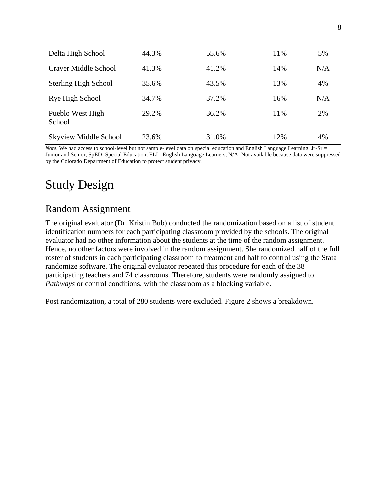| Delta High School            | 44.3% | 55.6% | 11% | 5%  |
|------------------------------|-------|-------|-----|-----|
| Craver Middle School         | 41.3% | 41.2% | 14% | N/A |
| <b>Sterling High School</b>  | 35.6% | 43.5% | 13% | 4%  |
| Rye High School              | 34.7% | 37.2% | 16% | N/A |
| Pueblo West High<br>School   | 29.2% | 36.2% | 11% | 2%  |
| <b>Skyview Middle School</b> | 23.6% | 31.0% | 12% | 4%  |

*Note*. We had access to school-level but not sample-level data on special education and English Language Learning. Jr-Sr = Junior and Senior, SpED=Special Education, ELL=English Language Learners, N/A=Not available because data were suppressed by the Colorado Department of Education to protect student privacy.

# <span id="page-9-0"></span>Study Design

## <span id="page-9-1"></span>Random Assignment

The original evaluator (Dr. Kristin Bub) conducted the randomization based on a list of student identification numbers for each participating classroom provided by the schools. The original evaluator had no other information about the students at the time of the random assignment. Hence, no other factors were involved in the random assignment. She randomized half of the full roster of students in each participating classroom to treatment and half to control using the Stata randomize software. The original evaluator repeated this procedure for each of the 38 participating teachers and 74 classrooms. Therefore, students were randomly assigned to *Pathways* or control conditions, with the classroom as a blocking variable.

Post randomization, a total of 280 students were excluded. Figure 2 shows a breakdown.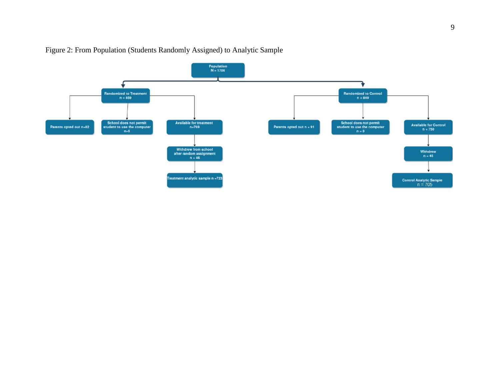

#### Figure 2: From Population (Students Randomly Assigned) to Analytic Sample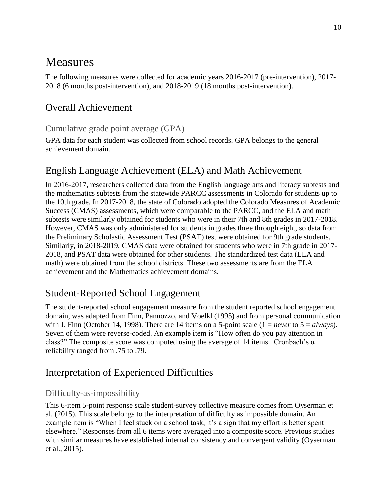# <span id="page-11-0"></span>Measures

The following measures were collected for academic years 2016-2017 (pre-intervention), 2017- 2018 (6 months post-intervention), and 2018-2019 (18 months post-intervention).

# <span id="page-11-1"></span>Overall Achievement

#### <span id="page-11-2"></span>Cumulative grade point average (GPA)

GPA data for each student was collected from school records. GPA belongs to the general achievement domain.

# <span id="page-11-3"></span>English Language Achievement (ELA) and Math Achievement

In 2016-2017, researchers collected data from the English language arts and literacy subtests and the mathematics subtests from the statewide PARCC assessments in Colorado for students up to the 10th grade. In 2017-2018, the state of Colorado adopted the Colorado Measures of Academic Success (CMAS) assessments, which were comparable to the PARCC, and the ELA and math subtests were similarly obtained for students who were in their 7th and 8th grades in 2017-2018. However, CMAS was only administered for students in grades three through eight, so data from the Preliminary Scholastic Assessment Test (PSAT) test were obtained for 9th grade students. Similarly, in 2018-2019, CMAS data were obtained for students who were in 7th grade in 2017- 2018, and PSAT data were obtained for other students. The standardized test data (ELA and math) were obtained from the school districts. These two assessments are from the ELA achievement and the Mathematics achievement domains.

# <span id="page-11-4"></span>Student-Reported School Engagement

The student-reported school engagement measure from the student reported school engagement domain, was adapted from Finn, Pannozzo, and Voelkl (1995) and from personal communication with J. Finn (October 14, 1998). There are 14 items on a 5-point scale  $(1 = never to 5 = always)$ . Seven of them were reverse-coded. An example item is "How often do you pay attention in class?" The composite score was computed using the average of 14 items. Cronbach's  $\alpha$ reliability ranged from .75 to .79.

# <span id="page-11-5"></span>Interpretation of Experienced Difficulties

### <span id="page-11-6"></span>Difficulty-as-impossibility

This 6-item 5-point response scale student-survey collective measure comes from Oyserman et al. (2015). This scale belongs to the interpretation of difficulty as impossible domain. An example item is "When I feel stuck on a school task, it's a sign that my effort is better spent elsewhere." Responses from all 6 items were averaged into a composite score. Previous studies with similar measures have established internal consistency and convergent validity (Oyserman et al., 2015).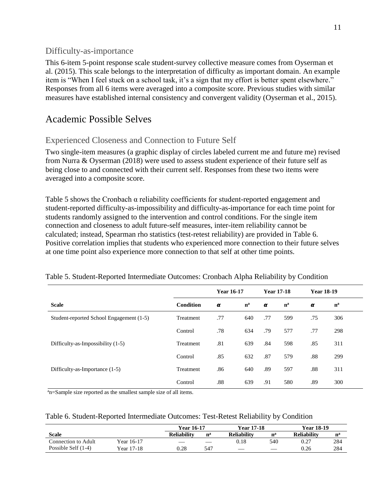#### <span id="page-12-0"></span>Difficulty-as-importance

This 6-item 5-point response scale student-survey collective measure comes from Oyserman et al. (2015). This scale belongs to the interpretation of difficulty as important domain. An example item is "When I feel stuck on a school task, it's a sign that my effort is better spent elsewhere." Responses from all 6 items were averaged into a composite score. Previous studies with similar measures have established internal consistency and convergent validity (Oyserman et al., 2015).

# <span id="page-12-1"></span>Academic Possible Selves

### <span id="page-12-2"></span>Experienced Closeness and Connection to Future Self

Two single-item measures (a graphic display of circles labeled current me and future me) revised from Nurra & Oyserman (2018) were used to assess student experience of their future self as being close to and connected with their current self. Responses from these two items were averaged into a composite score.

Table 5 shows the Cronbach α reliability coefficients for student-reported engagement and student-reported difficulty-as-impossibility and difficulty-as-importance for each time point for students randomly assigned to the intervention and control conditions. For the single item connection and closeness to adult future-self measures, inter-item reliability cannot be calculated; instead, Spearman rho statistics (test-retest reliability) are provided in Table 6. Positive correlation implies that students who experienced more connection to their future selves at one time point also experience more connection to that self at other time points.

|                                          |           | <b>Year 16-17</b> |       | <b>Year 17-18</b> |       | <b>Year 18-19</b> |       |
|------------------------------------------|-----------|-------------------|-------|-------------------|-------|-------------------|-------|
| <b>Scale</b>                             | Condition | $\alpha$          | $n^a$ | α                 | $n^a$ | $\alpha$          | $n^a$ |
| Student-reported School Engagement (1-5) | Treatment | .77               | 640   | .77               | 599   | .75               | 306   |
|                                          | Control   | .78               | 634   | .79               | 577   | .77               | 298   |
| Difficulty-as-Impossibility (1-5)        | Treatment | .81               | 639   | .84               | 598   | .85               | 311   |
|                                          | Control   | .85               | 632   | .87               | 579   | .88               | 299   |
| Difficulty-as-Importance (1-5)           | Treatment | .86               | 640   | .89               | 597   | .88               | 311   |
|                                          | Control   | .88               | 639   | .91               | 580   | .89               | 300   |

#### Table 5. Student-Reported Intermediate Outcomes: Cronbach Alpha Reliability by Condition

 $a_n$ =Sample size reported as the smallest sample size of all items.

|  | Table 6. Student-Reported Intermediate Outcomes: Test-Retest Reliability by Condition |  |  |  |  |  |
|--|---------------------------------------------------------------------------------------|--|--|--|--|--|
|--|---------------------------------------------------------------------------------------|--|--|--|--|--|

|                     |            | Year 16-17  |       | <b>Year 17-18</b>        |             | <b>Year 18-19</b>  |       |
|---------------------|------------|-------------|-------|--------------------------|-------------|--------------------|-------|
| <b>Scale</b>        |            | Reliabilitv | $n^a$ | <b>Reliability</b>       | $n^{\rm a}$ | <b>Reliability</b> | $n^a$ |
| Connection to Adult | Year 16-17 |             |       | 0.18                     | 540         | 0.27               | 284   |
| Possible Self (1-4) | Year 17-18 | 0.28        | 547   | $\overline{\phantom{a}}$ |             | 0.26               | 284   |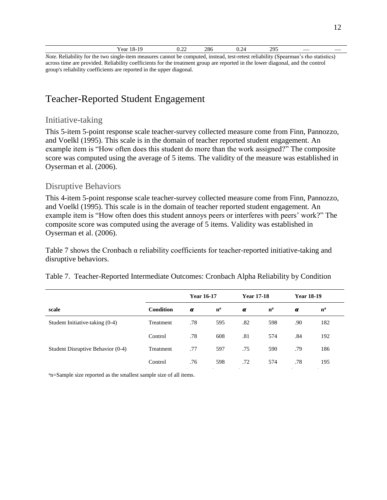| Year 18-19                                                                                                                          | 0.22 | 286 | 0.24 | 295 |  |
|-------------------------------------------------------------------------------------------------------------------------------------|------|-----|------|-----|--|
| Note. Reliability for the two single-item measures cannot be computed, instead, test-retest reliability (Spearman's rho statistics) |      |     |      |     |  |

across time are provided. Reliability coefficients for the treatment group are reported in the lower diagonal, and the control group's reliability coefficients are reported in the upper diagonal.

# <span id="page-13-0"></span>Teacher-Reported Student Engagement

#### <span id="page-13-1"></span>Initiative-taking

This 5-item 5-point response scale teacher-survey collected measure come from Finn, Pannozzo, and Voelkl (1995). This scale is in the domain of teacher reported student engagement. An example item is "How often does this student do more than the work assigned?" The composite score was computed using the average of 5 items. The validity of the measure was established in Oyserman et al. (2006).

#### <span id="page-13-2"></span>Disruptive Behaviors

This 4-item 5-point response scale teacher-survey collected measure come from Finn, Pannozzo, and Voelkl (1995). This scale is in the domain of teacher reported student engagement. An example item is "How often does this student annoys peers or interferes with peers' work?" The composite score was computed using the average of 5 items. Validity was established in Oyserman et al. (2006).

Table 7 shows the Cronbach α reliability coefficients for teacher-reported initiative-taking and disruptive behaviors.

|  | Table 7. Teacher-Reported Intermediate Outcomes: Cronbach Alpha Reliability by Condition |  |  |
|--|------------------------------------------------------------------------------------------|--|--|
|  |                                                                                          |  |  |

|                                   |                  | <b>Year 16-17</b> |       | <b>Year 17-18</b> |       | <b>Year 18-19</b> |       |  |
|-----------------------------------|------------------|-------------------|-------|-------------------|-------|-------------------|-------|--|
| scale                             | <b>Condition</b> | α                 | $n^a$ | $\alpha$          | $n^a$ | $\alpha$          | $n^a$ |  |
| Student Initiative-taking (0-4)   | Treatment        | .78               | 595   | .82               | 598   | .90               | 182   |  |
|                                   | Control          | .78               | 608   | .81               | 574   | .84               | 192   |  |
| Student Disruptive Behavior (0-4) | Treatment        | .77               | 597   | .75               | 590   | .79               | 186   |  |
|                                   | Control          | .76               | 598   | .72               | 574   | .78               | 195   |  |

an=Sample size reported as the smallest sample size of all items.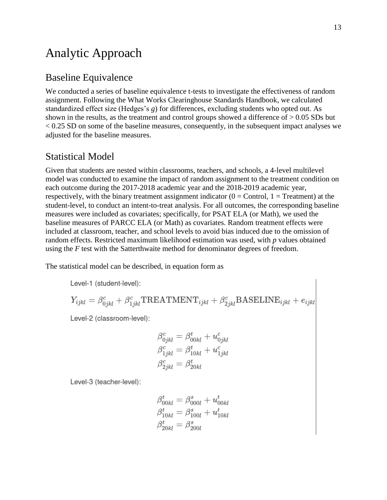# <span id="page-14-0"></span>Analytic Approach

### <span id="page-14-1"></span>Baseline Equivalence

We conducted a series of baseline equivalence t-tests to investigate the effectiveness of random assignment. Following the What Works Clearinghouse Standards Handbook, we calculated standardized effect size (Hedges's *g*) for differences, excluding students who opted out. As shown in the results, as the treatment and control groups showed a difference of  $> 0.05$  SDs but  $< 0.25$  SD on some of the baseline measures, consequently, in the subsequent impact analyses we adjusted for the baseline measures.

### <span id="page-14-2"></span>Statistical Model

Given that students are nested within classrooms, teachers, and schools, a 4-level multilevel model was conducted to examine the impact of random assignment to the treatment condition on each outcome during the 2017-2018 academic year and the 2018-2019 academic year, respectively, with the binary treatment assignment indicator  $(0 = Control, 1 = Treatment)$  at the student-level, to conduct an intent-to-treat analysis. For all outcomes, the corresponding baseline measures were included as covariates; specifically, for PSAT ELA (or Math), we used the baseline measures of PARCC ELA (or Math) as covariates. Random treatment effects were included at classroom, teacher, and school levels to avoid bias induced due to the omission of random effects. Restricted maximum likelihood estimation was used, with *p* values obtained using the *F* test with the Satterthwaite method for denominator degrees of freedom.

The statistical model can be described, in equation form as

Level-1 (student-level):

$$
Y_{ijkl} = \beta_{0jkl}^c + \beta_{1jkl}^c \text{TREATMENT}_{ijkl} + \beta_{2jkl}^c \text{BASELINE}_{ijkl} + e_{ijkl}
$$

Level-2 (classroom-level):

$$
\begin{aligned} \beta_{0jkl}^c &= \beta_{00kl}^t + u_{0jkl}^c \\ \beta_{1jkl}^c &= \beta_{10kl}^t + u_{1jkl}^c \\ \beta_{2jkl}^c &= \beta_{20kl}^t \end{aligned}
$$

Level-3 (teacher-level):

$$
\beta_{00kl}^t = \beta_{000l}^s + u_{00kl}^t
$$
  

$$
\beta_{10kl}^t = \beta_{100l}^s + u_{10kl}^t
$$
  

$$
\beta_{20kl}^t = \beta_{200l}^s
$$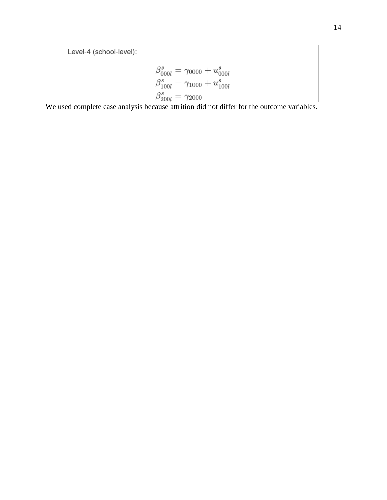$$
\begin{array}{l} \beta^s_{000l}=\gamma_{0000}+u^s_{000l} \\ \beta^s_{100l}=\gamma_{1000}+u^s_{100l} \\ \beta^s_{200l}=\gamma_{2000} \end{array}
$$

We used complete case analysis because attrition did not differ for the outcome variables.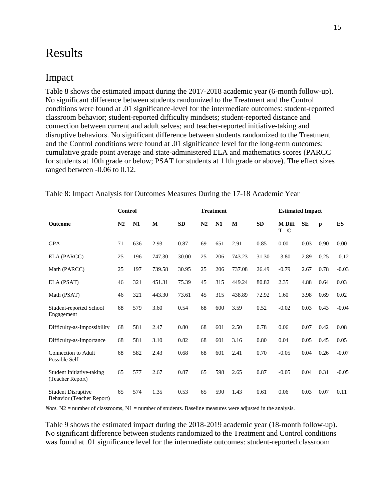# <span id="page-16-0"></span>Results

### <span id="page-16-1"></span>Impact

Table 8 shows the estimated impact during the 2017-2018 academic year (6-month follow-up). No significant difference between students randomized to the Treatment and the Control conditions were found at .01 significance-level for the intermediate outcomes: student-reported classroom behavior; student-reported difficulty mindsets; student-reported distance and connection between current and adult selves; and teacher-reported initiative-taking and disruptive behaviors. No significant difference between students randomized to the Treatment and the Control conditions were found at .01 significance level for the long-term outcomes: cumulative grade point average and state-administered ELA and mathematics scores (PARCC for students at 10th grade or below; PSAT for students at 11th grade or above). The effect sizes ranged between -0.06 to 0.12.

| <b>Control</b><br><b>Treatment</b>                     |                |     |        |            |    |     |        | <b>Estimated Impact</b> |                          |           |              |           |  |  |  |
|--------------------------------------------------------|----------------|-----|--------|------------|----|-----|--------|-------------------------|--------------------------|-----------|--------------|-----------|--|--|--|
| <b>Outcome</b>                                         | N <sub>2</sub> | N1  | M      | ${\bf SD}$ | N2 | N1  | M      | <b>SD</b>               | <b>M</b> Diff<br>$T - C$ | <b>SE</b> | $\mathbf{p}$ | <b>ES</b> |  |  |  |
| <b>GPA</b>                                             | 71             | 636 | 2.93   | 0.87       | 69 | 651 | 2.91   | 0.85                    | 0.00                     | 0.03      | 0.90         | 0.00      |  |  |  |
| ELA (PARCC)                                            | 25             | 196 | 747.30 | 30.00      | 25 | 206 | 743.23 | 31.30                   | $-3.80$                  | 2.89      | 0.25         | $-0.12$   |  |  |  |
| Math (PARCC)                                           | 25             | 197 | 739.58 | 30.95      | 25 | 206 | 737.08 | 26.49                   | $-0.79$                  | 2.67      | 0.78         | $-0.03$   |  |  |  |
| ELA (PSAT)                                             | 46             | 321 | 451.31 | 75.39      | 45 | 315 | 449.24 | 80.82                   | 2.35                     | 4.88      | 0.64         | 0.03      |  |  |  |
| Math (PSAT)                                            | 46             | 321 | 443.30 | 73.61      | 45 | 315 | 438.89 | 72.92                   | 1.60                     | 3.98      | 0.69         | 0.02      |  |  |  |
| Student-reported School<br>Engagement                  | 68             | 579 | 3.60   | 0.54       | 68 | 600 | 3.59   | 0.52                    | $-0.02$                  | 0.03      | 0.43         | $-0.04$   |  |  |  |
| Difficulty-as-Impossibility                            | 68             | 581 | 2.47   | 0.80       | 68 | 601 | 2.50   | 0.78                    | 0.06                     | 0.07      | 0.42         | 0.08      |  |  |  |
| Difficulty-as-Importance                               | 68             | 581 | 3.10   | 0.82       | 68 | 601 | 3.16   | 0.80                    | 0.04                     | 0.05      | 0.45         | 0.05      |  |  |  |
| Connection to Adult<br>Possible Self                   | 68             | 582 | 2.43   | 0.68       | 68 | 601 | 2.41   | 0.70                    | $-0.05$                  | 0.04      | 0.26         | $-0.07$   |  |  |  |
| Student Initiative-taking<br>(Teacher Report)          | 65             | 577 | 2.67   | 0.87       | 65 | 598 | 2.65   | 0.87                    | $-0.05$                  | 0.04      | 0.31         | $-0.05$   |  |  |  |
| <b>Student Disruptive</b><br>Behavior (Teacher Report) | 65             | 574 | 1.35   | 0.53       | 65 | 590 | 1.43   | 0.61                    | 0.06                     | 0.03      | 0.07         | 0.11      |  |  |  |

Table 8: Impact Analysis for Outcomes Measures During the 17-18 Academic Year

*Note*. N2 = number of classrooms, N1 = number of students. Baseline measures were adjusted in the analysis.

Table 9 shows the estimated impact during the 2018-2019 academic year (18-month follow-up). No significant difference between students randomized to the Treatment and Control conditions was found at .01 significance level for the intermediate outcomes: student-reported classroom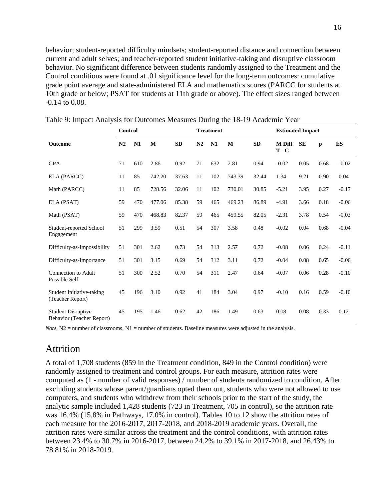behavior; student-reported difficulty mindsets; student-reported distance and connection between current and adult selves; and teacher-reported student initiative-taking and disruptive classroom behavior. No significant difference between students randomly assigned to the Treatment and the Control conditions were found at .01 significance level for the long-term outcomes: cumulative grade point average and state-administered ELA and mathematics scores (PARCC for students at 10th grade or below; PSAT for students at 11th grade or above). The effect sizes ranged between -0.14 to 0.08.

|                                                        |                | <b>Treatment</b><br>Control |          |           |                |     |        |           | <b>Estimated Impact</b>  |           |              |         |
|--------------------------------------------------------|----------------|-----------------------------|----------|-----------|----------------|-----|--------|-----------|--------------------------|-----------|--------------|---------|
| <b>Outcome</b>                                         | N <sub>2</sub> | N1                          | $\bf{M}$ | <b>SD</b> | N <sub>2</sub> | N1  | M      | <b>SD</b> | <b>M</b> Diff<br>$T - C$ | <b>SE</b> | $\mathbf{p}$ | ES      |
| <b>GPA</b>                                             | 71             | 610                         | 2.86     | 0.92      | 71             | 632 | 2.81   | 0.94      | $-0.02$                  | 0.05      | 0.68         | $-0.02$ |
| ELA (PARCC)                                            | 11             | 85                          | 742.20   | 37.63     | 11             | 102 | 743.39 | 32.44     | 1.34                     | 9.21      | 0.90         | 0.04    |
| Math (PARCC)                                           | 11             | 85                          | 728.56   | 32.06     | 11             | 102 | 730.01 | 30.85     | $-5.21$                  | 3.95      | 0.27         | $-0.17$ |
| ELA (PSAT)                                             | 59             | 470                         | 477.06   | 85.38     | 59             | 465 | 469.23 | 86.89     | $-4.91$                  | 3.66      | 0.18         | $-0.06$ |
| Math (PSAT)                                            | 59             | 470                         | 468.83   | 82.37     | 59             | 465 | 459.55 | 82.05     | $-2.31$                  | 3.78      | 0.54         | $-0.03$ |
| Student-reported School<br>Engagement                  | 51             | 299                         | 3.59     | 0.51      | 54             | 307 | 3.58   | 0.48      | $-0.02$                  | 0.04      | 0.68         | $-0.04$ |
| Difficulty-as-Impossibility                            | 51             | 301                         | 2.62     | 0.73      | 54             | 313 | 2.57   | 0.72      | $-0.08$                  | 0.06      | 0.24         | $-0.11$ |
| Difficulty-as-Importance                               | 51             | 301                         | 3.15     | 0.69      | 54             | 312 | 3.11   | 0.72      | $-0.04$                  | 0.08      | 0.65         | $-0.06$ |
| Connection to Adult<br>Possible Self                   | 51             | 300                         | 2.52     | 0.70      | 54             | 311 | 2.47   | 0.64      | $-0.07$                  | 0.06      | 0.28         | $-0.10$ |
| Student Initiative-taking<br>(Teacher Report)          | 45             | 196                         | 3.10     | 0.92      | 41             | 184 | 3.04   | 0.97      | $-0.10$                  | 0.16      | 0.59         | $-0.10$ |
| <b>Student Disruptive</b><br>Behavior (Teacher Report) | 45             | 195                         | 1.46     | 0.62      | 42             | 186 | 1.49   | 0.63      | 0.08                     | 0.08      | 0.33         | 0.12    |

Table 9: Impact Analysis for Outcomes Measures During the 18-19 Academic Year

<span id="page-17-0"></span>*Note*. N2 = number of classrooms, N1 = number of students. Baseline measures were adjusted in the analysis.

#### Attrition

A total of 1,708 students (859 in the Treatment condition, 849 in the Control condition) were randomly assigned to treatment and control groups. For each measure, attrition rates were computed as (1 - number of valid responses) / number of students randomized to condition. After excluding students whose parent/guardians opted them out, students who were not allowed to use computers, and students who withdrew from their schools prior to the start of the study, the analytic sample included 1,428 students (723 in Treatment, 705 in control), so the attrition rate was 16.4% (15.8% in Pathways, 17.0% in control). Tables 10 to 12 show the attrition rates of each measure for the 2016-2017, 2017-2018, and 2018-2019 academic years. Overall, the attrition rates were similar across the treatment and the control conditions, with attrition rates between 23.4% to 30.7% in 2016-2017, between 24.2% to 39.1% in 2017-2018, and 26.43% to 78.81% in 2018-2019.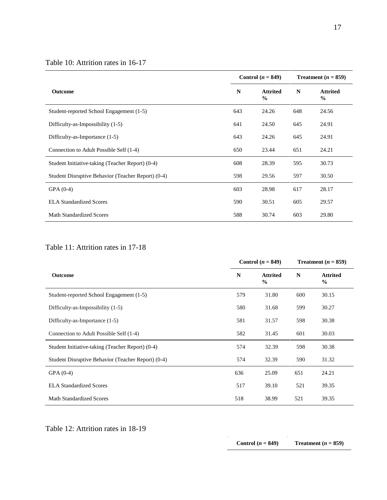#### Table 10: Attrition rates in 16-17

|                                                    |     | Control $(n = 849)$              | Treatment $(n = 859)$ |                                  |  |
|----------------------------------------------------|-----|----------------------------------|-----------------------|----------------------------------|--|
| <b>Outcome</b>                                     | N   | <b>Attrited</b><br>$\frac{6}{9}$ | $\mathbf N$           | <b>Attrited</b><br>$\frac{0}{0}$ |  |
| Student-reported School Engagement (1-5)           | 643 | 24.26                            | 648                   | 24.56                            |  |
| Difficulty-as-Impossibility (1-5)                  | 641 | 24.50                            | 645                   | 24.91                            |  |
| Difficulty-as-Importance (1-5)                     | 643 | 24.26                            | 645                   | 24.91                            |  |
| Connection to Adult Possible Self (1-4)            | 650 | 23.44                            | 651                   | 24.21                            |  |
| Student Initiative-taking (Teacher Report) (0-4)   | 608 | 28.39                            | 595                   | 30.73                            |  |
| Student Disruptive Behavior (Teacher Report) (0-4) | 598 | 29.56                            | 597                   | 30.50                            |  |
| $GPA(0-4)$                                         | 603 | 28.98                            | 617                   | 28.17                            |  |
| <b>ELA Standardized Scores</b>                     | 590 | 30.51                            | 605                   | 29.57                            |  |
| <b>Math Standardized Scores</b>                    | 588 | 30.74                            | 603                   | 29.80                            |  |

#### Table 11: Attrition rates in 17-18

|                                                    |     | Control $(n = 849)$              |     | Treatment $(n = 859)$            |
|----------------------------------------------------|-----|----------------------------------|-----|----------------------------------|
| <b>Outcome</b>                                     | N   | <b>Attrited</b><br>$\frac{0}{0}$ | N   | <b>Attrited</b><br>$\frac{0}{0}$ |
| Student-reported School Engagement (1-5)           | 579 | 31.80                            | 600 | 30.15                            |
| Difficulty-as-Impossibility (1-5)                  | 580 | 31.68                            | 599 | 30.27                            |
| Difficulty-as-Importance (1-5)                     | 581 | 31.57                            | 598 | 30.38                            |
| Connection to Adult Possible Self (1-4)            | 582 | 31.45                            | 601 | 30.03                            |
| Student Initiative-taking (Teacher Report) (0-4)   | 574 | 32.39                            | 598 | 30.38                            |
| Student Disruptive Behavior (Teacher Report) (0-4) | 574 | 32.39                            | 590 | 31.32                            |
| $GPA(0-4)$                                         | 636 | 25.09                            | 651 | 24.21                            |
| <b>ELA Standardized Scores</b>                     | 517 | 39.10                            | 521 | 39.35                            |
| <b>Math Standardized Scores</b>                    | 518 | 38.99                            | 521 | 39.35                            |

Table 12: Attrition rates in 18-19

**Control**  $(n = 849)$  **Treatment**  $(n = 859)$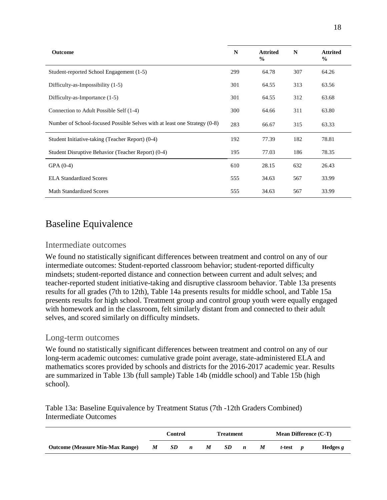| <b>Outcome</b>                                                            | N   | <b>Attrited</b><br>$\frac{0}{0}$ | $\mathbf N$ | <b>Attrited</b><br>$\frac{0}{0}$ |
|---------------------------------------------------------------------------|-----|----------------------------------|-------------|----------------------------------|
| Student-reported School Engagement (1-5)                                  | 299 | 64.78                            | 307         | 64.26                            |
| Difficulty-as-Impossibility (1-5)                                         | 301 | 64.55                            | 313         | 63.56                            |
| Difficulty-as-Importance (1-5)                                            | 301 | 64.55                            | 312         | 63.68                            |
| Connection to Adult Possible Self (1-4)                                   | 300 | 64.66                            | 311         | 63.80                            |
| Number of School-focused Possible Selves with at least one Strategy (0-8) | 283 | 66.67                            | 315         | 63.33                            |
| Student Initiative-taking (Teacher Report) (0-4)                          | 192 | 77.39                            | 182         | 78.81                            |
| Student Disruptive Behavior (Teacher Report) (0-4)                        | 195 | 77.03                            | 186         | 78.35                            |
| $GPA(0-4)$                                                                | 610 | 28.15                            | 632         | 26.43                            |
| <b>ELA Standardized Scores</b>                                            | 555 | 34.63                            | 567         | 33.99                            |
| <b>Math Standardized Scores</b>                                           | 555 | 34.63                            | 567         | 33.99                            |

# <span id="page-19-0"></span>Baseline Equivalence

#### <span id="page-19-1"></span>Intermediate outcomes

We found no statistically significant differences between treatment and control on any of our intermediate outcomes: Student-reported classroom behavior; student-reported difficulty mindsets; student-reported distance and connection between current and adult selves; and teacher-reported student initiative-taking and disruptive classroom behavior. Table 13a presents results for all grades (7th to 12th), Table 14a presents results for middle school, and Table 15a presents results for high school. Treatment group and control group youth were equally engaged with homework and in the classroom, felt similarly distant from and connected to their adult selves, and scored similarly on difficulty mindsets.

#### <span id="page-19-2"></span>Long-term outcomes

We found no statistically significant differences between treatment and control on any of our long-term academic outcomes: cumulative grade point average, state-administered ELA and mathematics scores provided by schools and districts for the 2016-2017 academic year. Results are summarized in Table 13b (full sample) Table 14b (middle school) and Table 15b (high school).

Table 13a: Baseline Equivalence by Treatment Status (7th -12th Graders Combined) Intermediate Outcomes

|                                        |   | Control |                  |   | <b>Treatment</b> |                  |   | <b>Mean Difference (C-T)</b> |  |          |  |
|----------------------------------------|---|---------|------------------|---|------------------|------------------|---|------------------------------|--|----------|--|
| <b>Outcome (Measure Min-Max Range)</b> | M | SD      | $\boldsymbol{n}$ | M | SD               | $\boldsymbol{n}$ | M | t-test                       |  | Hedges g |  |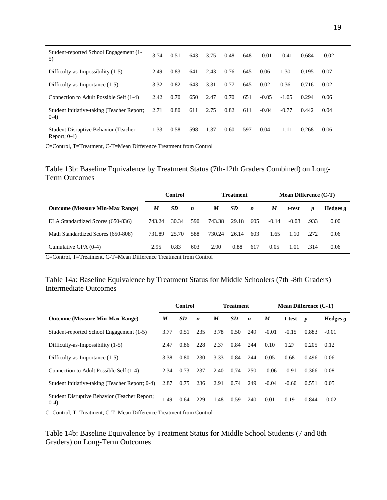| Student-reported School Engagement (1-<br>5)            | 3.74 | 0.51 | 643 | 3.75 | 0.48 | 648 | $-0.01$ | $-0.41$ | 0.684 | $-0.02$ |
|---------------------------------------------------------|------|------|-----|------|------|-----|---------|---------|-------|---------|
| Difficulty-as-Impossibility (1-5)                       | 2.49 | 0.83 | 641 | 2.43 | 0.76 | 645 | 0.06    | 1.30    | 0.195 | 0.07    |
| Difficulty-as-Importance (1-5)                          | 3.32 | 0.82 | 643 | 3.31 | 0.77 | 645 | 0.02    | 0.36    | 0.716 | 0.02    |
| Connection to Adult Possible Self (1-4)                 | 2.42 | 0.70 | 650 | 2.47 | 0.70 | 651 | $-0.05$ | $-1.05$ | 0.294 | 0.06    |
| Student Initiative-taking (Teacher Report;<br>$(0-4)$   | 2.71 | 0.80 | 611 | 2.75 | 0.82 | 611 | $-0.04$ | $-0.77$ | 0.442 | 0.04    |
| Student Disruptive Behavior (Teacher<br>Report; $0-4$ ) | 1.33 | 0.58 | 598 | 1.37 | 0.60 | 597 | 0.04    | $-1.11$ | 0.268 | 0.06    |

C=Control, T=Treatment, C-T=Mean Difference Treatment from Control

Table 13b: Baseline Equivalence by Treatment Status (7th-12th Graders Combined) on Long-Term Outcomes

|                                        | Control |       |                  |        | <b>Treatment</b> |                  |         | <b>Mean Difference (C-T)</b> |                  |            |
|----------------------------------------|---------|-------|------------------|--------|------------------|------------------|---------|------------------------------|------------------|------------|
| <b>Outcome (Measure Min-Max Range)</b> | M       | SD    | $\boldsymbol{n}$ | M      | <b>SD</b>        | $\boldsymbol{n}$ | M       | t-test                       | $\boldsymbol{p}$ | Hedges $g$ |
| ELA Standardized Scores (650-836)      | 743.24  | 30.34 | 590              | 743.38 | 29.18            | 605              | $-0.14$ | $-0.08$                      | .933             | 0.00       |
| Math Standardized Scores (650-808)     | 731.89  | 25.70 | 588              | 730.24 | 26.14            | 603              | 1.65    | 1.10                         | .272             | 0.06       |
| Cumulative GPA (0-4)                   | 2.95    | 0.83  | 603              | 2.90   | 0.88             | 617              | 0.05    | 1.01                         | .314             | 0.06       |

C=Control, T=Treatment, C-T=Mean Difference Treatment from Control

#### Table 14a: Baseline Equivalence by Treatment Status for Middle Schoolers (7th -8th Graders) Intermediate Outcomes

|                                                         | Control |           |                  |      | <b>Treatment</b> |                  |         | <b>Mean Difference (C-T)</b> |                  |            |
|---------------------------------------------------------|---------|-----------|------------------|------|------------------|------------------|---------|------------------------------|------------------|------------|
| <b>Outcome (Measure Min-Max Range)</b>                  | M       | <b>SD</b> | $\boldsymbol{n}$ | M    | SD               | $\boldsymbol{n}$ | M       | t-test                       | $\boldsymbol{p}$ | Hedges $g$ |
| Student-reported School Engagement (1-5)                | 3.77    | 0.51      | 235              | 3.78 | 0.50             | 249              | $-0.01$ | $-0.15$                      | 0.883            | $-0.01$    |
| Difficulty-as-Impossibility (1-5)                       | 2.47    | 0.86      | 228              | 2.37 | 0.84             | 244              | 0.10    | 1.27                         | 0.205            | 0.12       |
| Difficulty-as-Importance (1-5)                          | 3.38    | 0.80      | 230              | 3.33 | 0.84             | 244              | 0.05    | 0.68                         | 0.496            | 0.06       |
| Connection to Adult Possible Self (1-4)                 | 2.34    | 0.73      | 237              | 2.40 | 0.74             | 250              | $-0.06$ | $-0.91$                      | 0.366            | 0.08       |
| Student Initiative-taking (Teacher Report; 0-4)         | 2.87    | 0.75      | 236              | 2.91 | 0.74             | 249              | $-0.04$ | $-0.60$                      | 0.551            | 0.05       |
| Student Disruptive Behavior (Teacher Report;<br>$(0-4)$ | 1.49    | 0.64      | 229              | 1.48 | 0.59             | 240              | 0.01    | 0.19                         | 0.844            | $-0.02$    |

C=Control, T=Treatment, C-T=Mean Difference Treatment from Control

Table 14b: Baseline Equivalence by Treatment Status for Middle School Students (7 and 8th Graders) on Long-Term Outcomes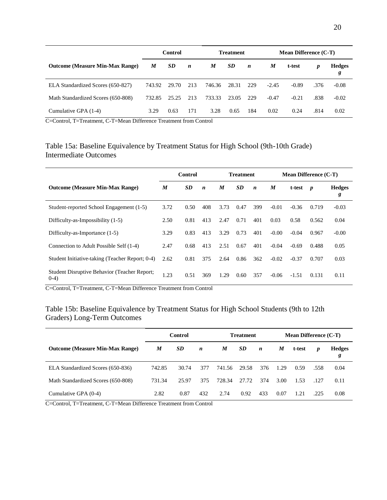|                                        |        | Control |                  |        | <b>Treatment</b> |                  | <b>Mean Difference (C-T)</b> |         |      |                    |  |
|----------------------------------------|--------|---------|------------------|--------|------------------|------------------|------------------------------|---------|------|--------------------|--|
| <b>Outcome (Measure Min-Max Range)</b> | M      | SD.     | $\boldsymbol{n}$ | M      | SD.              | $\boldsymbol{n}$ | M                            | t-test  | p    | <b>Hedges</b><br>g |  |
| ELA Standardized Scores (650-827)      | 743.92 | 29.70   | 213              | 746.36 | 28.31            | 229              | $-2.45$                      | $-0.89$ | .376 | $-0.08$            |  |
| Math Standardized Scores (650-808)     | 732.85 | 25.25   | 213              | 733.33 | 23.05            | 229              | $-0.47$                      | $-0.21$ | .838 | $-0.02$            |  |
| Cumulative GPA (1-4)                   | 3.29   | 0.63    | 171              | 3.28   | 0.65             | 184              | 0.02                         | 0.24    | .814 | 0.02               |  |

C=Control, T=Treatment, C-T=Mean Difference Treatment from Control

#### Table 15a: Baseline Equivalence by Treatment Status for High School (9th-10th Grade) Intermediate Outcomes

|                                                         | <b>Control</b> |           |                  | <b>Treatment</b> |           |                  | <b>Mean Difference (C-T)</b> |         |                  |                    |
|---------------------------------------------------------|----------------|-----------|------------------|------------------|-----------|------------------|------------------------------|---------|------------------|--------------------|
| <b>Outcome (Measure Min-Max Range)</b>                  | M              | <b>SD</b> | $\boldsymbol{n}$ | M                | <b>SD</b> | $\boldsymbol{n}$ | M                            | t-test  | $\boldsymbol{p}$ | <b>Hedges</b><br>g |
| Student-reported School Engagement (1-5)                | 3.72           | 0.50      | 408              | 3.73             | 0.47      | 399              | $-0.01$                      | $-0.36$ | 0.719            | $-0.03$            |
| Difficulty-as-Impossibility (1-5)                       | 2.50           | 0.81      | 413              | 2.47             | 0.71      | 401              | 0.03                         | 0.58    | 0.562            | 0.04               |
| Difficulty-as-Importance (1-5)                          | 3.29           | 0.83      | 413              | 3.29             | 0.73      | 401              | $-0.00$                      | $-0.04$ | 0.967            | $-0.00$            |
| Connection to Adult Possible Self (1-4)                 | 2.47           | 0.68      | 413              | 2.51             | 0.67      | 401              | $-0.04$                      | $-0.69$ | 0.488            | 0.05               |
| Student Initiative-taking (Teacher Report; 0-4)         | 2.62           | 0.81      | 375              | 2.64             | 0.86      | 362              | $-0.02$                      | $-0.37$ | 0.707            | 0.03               |
| Student Disruptive Behavior (Teacher Report;<br>$(0-4)$ | 1.23           | 0.51      | 369              | 1.29             | 0.60      | 357              | $-0.06$                      | $-1.51$ | 0.131            | 0.11               |

C=Control, T=Treatment, C-T=Mean Difference Treatment from Control

#### Table 15b: Baseline Equivalence by Treatment Status for High School Students (9th to 12th Graders) Long-Term Outcomes

|                                        |        | Control   |                  | <b>Treatment</b> |           | <b>Mean Difference (C-T)</b> |      |        |      |                    |
|----------------------------------------|--------|-----------|------------------|------------------|-----------|------------------------------|------|--------|------|--------------------|
| <b>Outcome (Measure Min-Max Range)</b> | M      | <b>SD</b> | $\boldsymbol{n}$ | M                | <b>SD</b> | $\boldsymbol{n}$             | M    | t-test | p    | <b>Hedges</b><br>g |
| ELA Standardized Scores (650-836)      | 742.85 | 30.74     | 377              | 741.56           | 29.58     | 376                          | 1.29 | 0.59   | .558 | 0.04               |
| Math Standardized Scores (650-808)     | 731.34 | 25.97     | 375              | 728.34           | 27.72     | 374                          | 3.00 | 1.53   | .127 | 0.11               |
| Cumulative GPA (0-4)                   | 2.82   | 0.87      | 432              | 2.74             | 0.92      | 433                          | 0.07 | 1.21   | .225 | 0.08               |

C=Control, T=Treatment, C-T=Mean Difference Treatment from Control